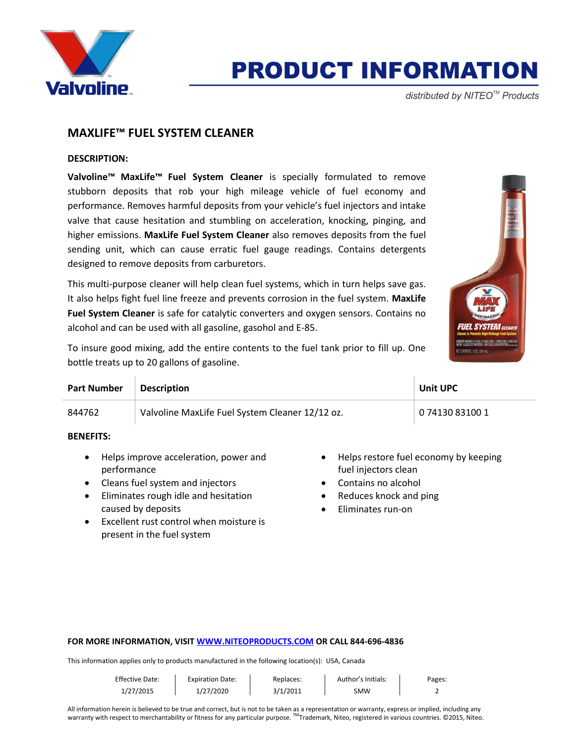

# **PRODUCT INFORMATION**

distributed by NITEO<sup>™</sup> Products

# **MAXLIFE™ FUEL SYSTEM CLEANER**

### **DESCRIPTION:**

**Valvoline™ MaxLife™ Fuel System Cleaner** is specially formulated to remove stubborn deposits that rob your high mileage vehicle of fuel economy and performance. Removes harmful deposits from your vehicle's fuel injectors and intake valve that cause hesitation and stumbling on acceleration, knocking, pinging, and higher emissions. **MaxLife Fuel System Cleaner** also removes deposits from the fuel sending unit, which can cause erratic fuel gauge readings. Contains detergents designed to remove deposits from carburetors.

This multi-purpose cleaner will help clean fuel systems, which in turn helps save gas. It also helps fight fuel line freeze and prevents corrosion in the fuel system. **MaxLife Fuel System Cleaner** is safe for catalytic converters and oxygen sensors. Contains no alcohol and can be used with all gasoline, gasohol and E-85.



To insure good mixing, add the entire contents to the fuel tank prior to fill up. One bottle treats up to 20 gallons of gasoline.

| <b>Part Number</b> | <b>Description</b>                              | <b>Unit UPC</b> |
|--------------------|-------------------------------------------------|-----------------|
| 844762             | Valvoline MaxLife Fuel System Cleaner 12/12 oz. | 0 74130 83100 1 |

### **BENEFITS:**

- Helps improve acceleration, power and performance
- Cleans fuel system and injectors
- Eliminates rough idle and hesitation caused by deposits
- Excellent rust control when moisture is present in the fuel system
- Helps restore fuel economy by keeping fuel injectors clean
- Contains no alcohol
- Reduces knock and ping
- Eliminates run-on

#### **FOR MORE INFORMATION, VISI[T WWW.NITEOPRODUCTS.COM](http://www.niteoproducts.com/) OR CALL 844-696-4836**

This information applies only to products manufactured in the following location(s): USA, Canada

| <b>Effective Date:</b> | <b>Expiration Date:</b> | Replaces: | Author's Initials: | Pages. |
|------------------------|-------------------------|-----------|--------------------|--------|
| 1/27/2015              | 1/27/2020               | 3/1/2011  | SMW                |        |

All information herein is believed to be true and correct, but is not to be taken as a representation or warranty, express or implied, including any warranty with respect to merchantability or fitness for any particular purpose. ™Trademark, Niteo, registered in various countries. ©2015, Niteo.